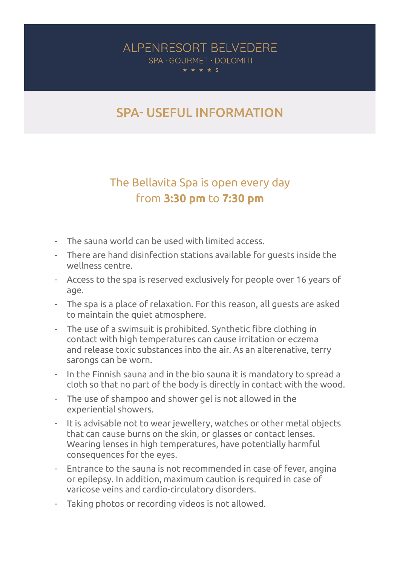# ALPENRESORT BELVEDERE SPA · GOURMET · DOLOMITI

## SPA- USEFUL INFORMATION

# The Bellavita Spa is open every day from **3:30 pm** to **7:30 pm**

- The sauna world can be used with limited access.
- There are hand disinfection stations available for guests inside the wellness centre.
- Access to the spa is reserved exclusively for people over 16 years of age.
- The spa is a place of relaxation. For this reason, all guests are asked to maintain the quiet atmosphere.
- The use of a swimsuit is prohibited. Synthetic fibre clothing in contact with high temperatures can cause irritation or eczema and release toxic substances into the air. As an alterenative, terry sarongs can be worn.
- In the Finnish sauna and in the bio sauna it is mandatory to spread a cloth so that no part of the body is directly in contact with the wood.
- The use of shampoo and shower gel is not allowed in the experiential showers.
- It is advisable not to wear jewellery, watches or other metal objects that can cause burns on the skin, or glasses or contact lenses. Wearing lenses in high temperatures, have potentially harmful consequences for the eyes.
- Entrance to the sauna is not recommended in case of fever, angina or epilepsy. In addition, maximum caution is required in case of varicose veins and cardio-circulatory disorders.
- Taking photos or recording videos is not allowed.